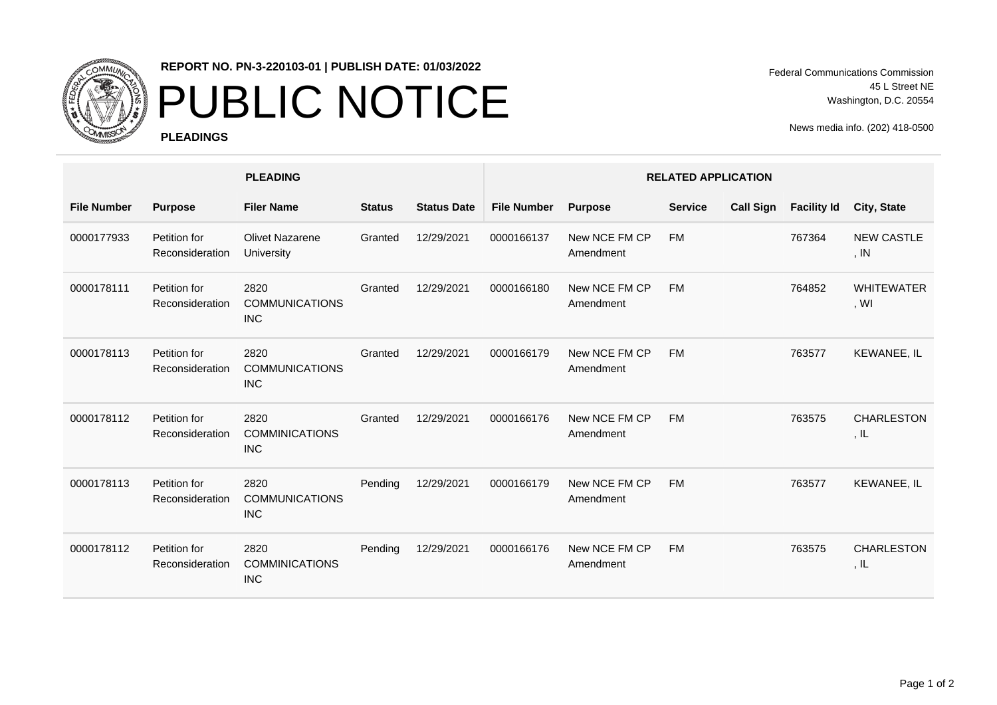

## **REPORT NO. PN-3-220103-01 | PUBLISH DATE: 01/03/2022**

## PUBLIC NOTICE

**PLEADINGS**

Federal Communications Commission 45 L Street NE Washington, D.C. 20554

News media info. (202) 418-0500

|                    |                                 | <b>PLEADING</b>                             |               |                    | <b>RELATED APPLICATION</b> |                            |                |                  |                    |                                       |  |
|--------------------|---------------------------------|---------------------------------------------|---------------|--------------------|----------------------------|----------------------------|----------------|------------------|--------------------|---------------------------------------|--|
| <b>File Number</b> | <b>Purpose</b>                  | <b>Filer Name</b>                           | <b>Status</b> | <b>Status Date</b> | <b>File Number</b>         | <b>Purpose</b>             | <b>Service</b> | <b>Call Sign</b> | <b>Facility Id</b> | <b>City, State</b>                    |  |
| 0000177933         | Petition for<br>Reconsideration | <b>Olivet Nazarene</b><br>University        | Granted       | 12/29/2021         | 0000166137                 | New NCE FM CP<br>Amendment | <b>FM</b>      |                  | 767364             | <b>NEW CASTLE</b><br>, IN             |  |
| 0000178111         | Petition for<br>Reconsideration | 2820<br><b>COMMUNICATIONS</b><br><b>INC</b> | Granted       | 12/29/2021         | 0000166180                 | New NCE FM CP<br>Amendment | <b>FM</b>      |                  | 764852             | <b>WHITEWATER</b><br>, W <sub>l</sub> |  |
| 0000178113         | Petition for<br>Reconsideration | 2820<br><b>COMMUNICATIONS</b><br><b>INC</b> | Granted       | 12/29/2021         | 0000166179                 | New NCE FM CP<br>Amendment | <b>FM</b>      |                  | 763577             | KEWANEE, IL                           |  |
| 0000178112         | Petition for<br>Reconsideration | 2820<br><b>COMMINICATIONS</b><br><b>INC</b> | Granted       | 12/29/2021         | 0000166176                 | New NCE FM CP<br>Amendment | <b>FM</b>      |                  | 763575             | <b>CHARLESTON</b><br>, IL             |  |
| 0000178113         | Petition for<br>Reconsideration | 2820<br><b>COMMUNICATIONS</b><br><b>INC</b> | Pending       | 12/29/2021         | 0000166179                 | New NCE FM CP<br>Amendment | <b>FM</b>      |                  | 763577             | <b>KEWANEE, IL</b>                    |  |
| 0000178112         | Petition for<br>Reconsideration | 2820<br><b>COMMINICATIONS</b><br><b>INC</b> | Pending       | 12/29/2021         | 0000166176                 | New NCE FM CP<br>Amendment | <b>FM</b>      |                  | 763575             | <b>CHARLESTON</b><br>, IL             |  |